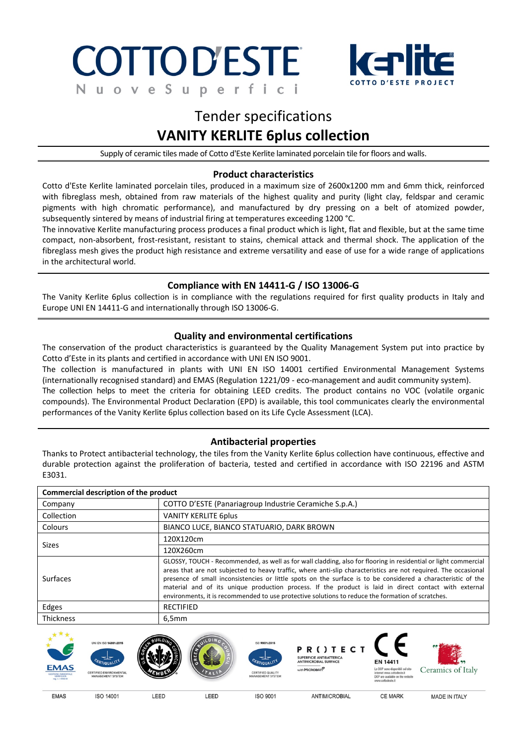#### **COTTOD'ESTE** f  $\Omega$ e e u  $\mathsf{D}$



## Tender specifications **VANITY KERLITE 6plus collection**

Supply of ceramic tiles made of Cotto d'Este Kerlite laminated porcelain tile for floors and walls.

### **Product characteristics**

Cotto d'Este Kerlite laminated porcelain tiles, produced in a maximum size of 2600x1200 mm and 6mm thick, reinforced with fibreglass mesh, obtained from raw materials of the highest quality and purity (light clay, feldspar and ceramic pigments with high chromatic performance), and manufactured by dry pressing on a belt of atomized powder, subsequently sintered by means of industrial firing at temperatures exceeding 1200 °C.

The innovative Kerlite manufacturing process produces a final product which is light, flat and flexible, but at the same time compact, non-absorbent, frost-resistant, resistant to stains, chemical attack and thermal shock. The application of the fibreglass mesh gives the product high resistance and extreme versatility and ease of use for a wide range of applications in the architectural world.

#### **Compliance with EN 14411-G / ISO 13006-G**

The Vanity Kerlite 6plus collection is in compliance with the regulations required for first quality products in Italy and Europe UNI EN 14411-G and internationally through ISO 13006-G.

#### **Quality and environmental certifications**

The conservation of the product characteristics is guaranteed by the Quality Management System put into practice by Cotto d'Este in its plants and certified in accordance with UNI EN ISO 9001.

The collection is manufactured in plants with UNI EN ISO 14001 certified Environmental Management Systems (internationally recognised standard) and EMAS (Regulation 1221/09 - eco-management and audit community system).

The collection helps to meet the criteria for obtaining LEED credits. The product contains no VOC (volatile organic compounds). The Environmental Product Declaration (EPD) is available, this tool communicates clearly the environmental performances of the Vanity Kerlite 6plus collection based on its Life Cycle Assessment (LCA).

#### **Antibacterial properties**

Thanks to Protect antibacterial technology, the tiles from the Vanity Kerlite 6plus collection have continuous, effective and durable protection against the proliferation of bacteria, tested and certified in accordance with ISO 22196 and ASTM E3031.  $\overline{a}$ 

| Commercial description of the product |                                                                                                                                                                                                                                                                                                                                                                                                                                                                                                                                                                  |  |  |  |  |
|---------------------------------------|------------------------------------------------------------------------------------------------------------------------------------------------------------------------------------------------------------------------------------------------------------------------------------------------------------------------------------------------------------------------------------------------------------------------------------------------------------------------------------------------------------------------------------------------------------------|--|--|--|--|
| Company                               | COTTO D'ESTE (Panariagroup Industrie Ceramiche S.p.A.)                                                                                                                                                                                                                                                                                                                                                                                                                                                                                                           |  |  |  |  |
| Collection                            | <b>VANITY KERLITE 6plus</b>                                                                                                                                                                                                                                                                                                                                                                                                                                                                                                                                      |  |  |  |  |
| Colours                               | BIANCO LUCE, BIANCO STATUARIO, DARK BROWN                                                                                                                                                                                                                                                                                                                                                                                                                                                                                                                        |  |  |  |  |
| <b>Sizes</b>                          | 120X120cm                                                                                                                                                                                                                                                                                                                                                                                                                                                                                                                                                        |  |  |  |  |
|                                       | 120X260cm                                                                                                                                                                                                                                                                                                                                                                                                                                                                                                                                                        |  |  |  |  |
| <b>Surfaces</b>                       | GLOSSY, TOUCH - Recommended, as well as for wall cladding, also for flooring in residential or light commercial<br>areas that are not subjected to heavy traffic, where anti-slip characteristics are not required. The occasional<br>presence of small inconsistencies or little spots on the surface is to be considered a characteristic of the<br>material and of its unique production process. If the product is laid in direct contact with external<br>environments, it is recommended to use protective solutions to reduce the formation of scratches. |  |  |  |  |
| Edges                                 | <b>RECTIFIED</b>                                                                                                                                                                                                                                                                                                                                                                                                                                                                                                                                                 |  |  |  |  |
| <b>Thickness</b>                      | 6,5mm                                                                                                                                                                                                                                                                                                                                                                                                                                                                                                                                                            |  |  |  |  |



**FMAS** 

LEED

LEED

MADE IN ITALY